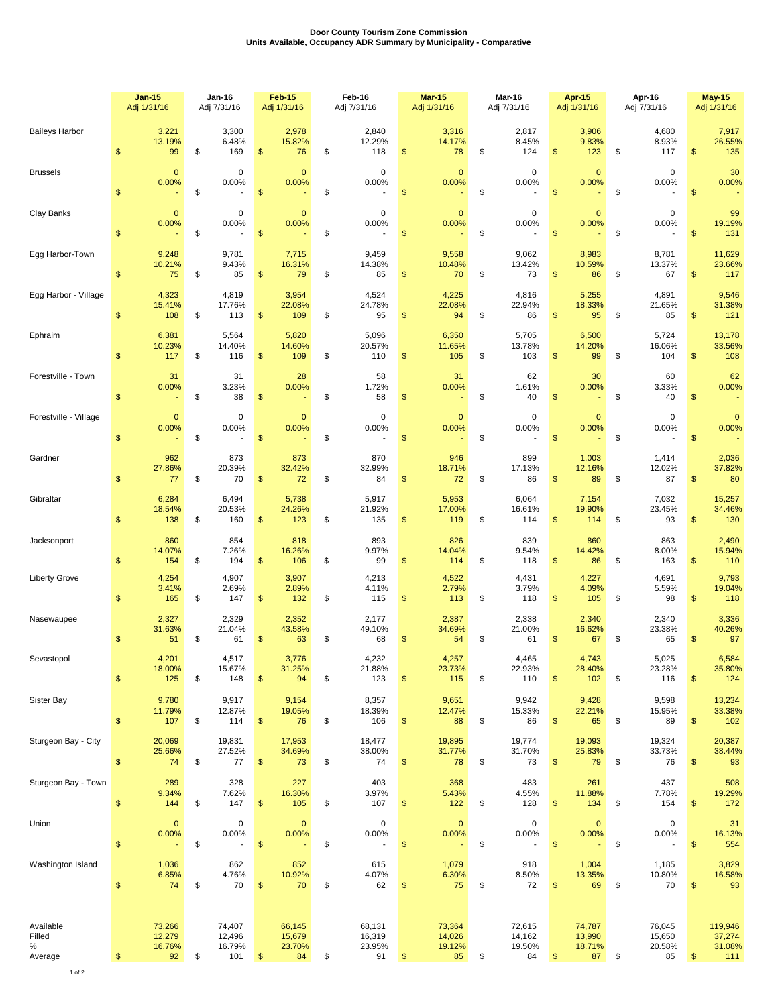## **Door County Tourism Zone Commission Units Available, Occupancy ADR Summary by Municipality - Comparative**

|                                     |               | <b>Jan-15</b><br>Adj 1/31/16     | Jan-16<br>Adj 7/31/16                      | <b>Feb-15</b><br>Adj 1/31/16            | Feb-16<br>Adj 7/31/16                  | <b>Mar-15</b><br>Adj 1/31/16           | Mar-16<br>Adj 7/31/16                  |               | Apr-15<br>Adj 1/31/16            | Apr-16<br>Adj 7/31/16                                  |               | <b>May-15</b><br>Adj 1/31/16         |
|-------------------------------------|---------------|----------------------------------|--------------------------------------------|-----------------------------------------|----------------------------------------|----------------------------------------|----------------------------------------|---------------|----------------------------------|--------------------------------------------------------|---------------|--------------------------------------|
| <b>Baileys Harbor</b>               | \$            | 3,221<br>13.19%<br>99            | \$<br>3,300<br>6.48%<br>169                | 2,978<br>15.82%<br>\$<br>76             | \$<br>2,840<br>12.29%<br>118           | \$<br>3,316<br>14.17%<br>78            | \$<br>2,817<br>8.45%<br>124            | \$            | 3,906<br>9.83%<br>123            | \$<br>4,680<br>8.93%<br>117                            | \$            | 7,917<br>26.55%<br>135               |
| <b>Brussels</b>                     | \$            | $\mathbf{0}$<br>0.00%            | \$<br>0<br>0.00%                           | $\mathbf{0}$<br>0.00%<br>\$             | \$<br>$\mathbf 0$<br>0.00%             | \$<br>$\mathbf 0$<br>0.00%             | \$<br>$\pmb{0}$<br>0.00%               | \$            | $\overline{0}$<br>0.00%          | \$<br>$\mathbf 0$<br>0.00%                             | $\mathsf{\$}$ | 30<br>0.00%                          |
| Clay Banks                          | \$            | $\mathbf{0}$<br>0.00%            | \$<br>0<br>0.00%                           | $\mathbf 0$<br>0.00%<br>$\mathfrak{F}$  | \$<br>$\mathbf 0$<br>0.00%             | \$<br>$\mathbf 0$<br>0.00%             | \$<br>$\pmb{0}$<br>0.00%               | \$            | $\mathbf{0}$<br>0.00%            | \$<br>$\mathbf 0$<br>0.00%                             | $\frac{1}{2}$ | 99<br>19.19%<br>131                  |
| Egg Harbor-Town                     | \$            | 9,248<br>10.21%<br>75            | \$<br>9,781<br>9.43%<br>85                 | 7,715<br>16.31%<br>79<br>\$             | \$<br>9,459<br>14.38%<br>85            | \$<br>9,558<br>10.48%<br>70            | \$<br>9,062<br>13.42%<br>73            | \$            | 8,983<br>10.59%<br>86            | \$<br>8,781<br>13.37%<br>67                            | \$            | 11,629<br>23.66%<br>117              |
| Egg Harbor - Village                | \$            | 4,323<br>15.41%<br>108           | \$<br>4,819<br>17.76%<br>113               | 3,954<br>22.08%<br>\$<br>109            | \$<br>4,524<br>24.78%<br>95            | \$<br>4,225<br>22.08%<br>94            | \$<br>4,816<br>22.94%<br>86            | \$            | 5,255<br>18.33%<br>95            | \$<br>4,891<br>21.65%<br>85                            | \$            | 9,546<br>31.38%<br>121               |
| Ephraim                             | \$            | 6,381<br>10.23%<br>117           | \$<br>5,564<br>14.40%<br>116               | 5,820<br>14.60%<br>\$<br>109            | \$<br>5,096<br>20.57%<br>110           | \$<br>6,350<br>11.65%<br>105           | \$<br>5,705<br>13.78%<br>103           | \$            | 6,500<br>14.20%<br>99            | \$<br>5,724<br>16.06%<br>104                           | \$            | 13,178<br>33.56%<br>108              |
| Forestville - Town                  | \$            | 31<br>0.00%                      | \$<br>31<br>3.23%<br>38                    | 28<br>0.00%<br>\$                       | \$<br>58<br>1.72%<br>58                | \$<br>31<br>0.00%                      | \$<br>62<br>1.61%<br>40                | \$            | 30<br>0.00%                      | \$<br>60<br>3.33%<br>40                                | \$            | 62<br>0.00%                          |
| Forestville - Village               | \$            | $\mathbf{0}$<br>0.00%            | \$<br>0<br>0.00%                           | $\mathbf 0$<br>0.00%<br>\$              | \$<br>$\mathbf 0$<br>0.00%             | \$<br>$\mathbf{0}$<br>0.00%            | \$<br>0<br>0.00%                       | \$            | $\mathbf{0}$<br>0.00%            | \$<br>$\mathbf 0$<br>0.00%                             | $\mathsf{\$}$ | $\mathbf{0}$<br>0.00%                |
| Gardner                             | $\mathsf{\$}$ | 962<br>27.86%<br>77              | \$<br>873<br>20.39%<br>70                  | 873<br>32.42%<br>\$<br>72               | \$<br>870<br>32.99%<br>84              | \$<br>946<br>18.71%<br>72              | \$<br>899<br>17.13%<br>86              | $\mathsf{\$}$ | 1,003<br>12.16%<br>89            | \$<br>1,414<br>12.02%<br>87                            | $\frac{1}{2}$ | 2,036<br>37.82%<br>80                |
| Gibraltar                           | \$            | 6,284<br>18.54%<br>138           | \$<br>6,494<br>20.53%<br>160               | 5,738<br>24.26%<br>\$<br>123            | \$<br>5,917<br>21.92%<br>135           | \$<br>5,953<br>17.00%<br>119           | \$<br>6,064<br>16.61%<br>114           | \$            | 7,154<br>19.90%<br>114           | \$<br>7,032<br>23.45%<br>93                            | \$            | 15,257<br>34.46%<br>130              |
| Jacksonport                         | \$            | 860<br>14.07%<br>154             | \$<br>854<br>7.26%<br>194                  | 818<br>16.26%<br>\$<br>106              | \$<br>893<br>9.97%<br>99               | \$<br>826<br>14.04%<br>114             | \$<br>839<br>9.54%<br>118              | \$            | 860<br>14.42%<br>86              | \$<br>863<br>8.00%<br>163                              | \$            | 2,490<br>15.94%<br>110               |
| <b>Liberty Grove</b>                | $\mathsf{\$}$ | 4,254<br>3.41%<br>165            | \$<br>4,907<br>2.69%<br>147                | 3,907<br>2.89%<br>$\mathfrak{s}$<br>132 | \$<br>4,213<br>4.11%<br>115            | \$<br>4,522<br>2.79%<br>113            | \$<br>4,431<br>3.79%<br>118            | \$            | 4,227<br>4.09%<br>105            | \$<br>4,691<br>5.59%<br>98                             | $\mathsf{\$}$ | 9,793<br>19.04%<br>118               |
| Nasewaupee                          | \$            | 2,327<br>31.63%<br>51            | \$<br>2,329<br>21.04%<br>61                | 2,352<br>43.58%<br>\$<br>63             | \$<br>2,177<br>49.10%<br>68            | \$<br>2,387<br>34.69%<br>54            | \$<br>2,338<br>21.00%<br>61            | \$            | 2,340<br>16.62%<br>67            | \$<br>2,340<br>23.38%<br>65                            | \$            | 3,336<br>40.26%<br>97                |
| Sevastopol                          | \$            | 4,201<br>18.00%<br>125           | \$<br>4,517<br>15.67%<br>148               | 3,776<br>31.25%<br>94<br>\$             | \$<br>4,232<br>21.88%<br>123           | \$<br>4,257<br>23.73%<br>115           | \$<br>4,465<br>22.93%<br>110           | \$            | 4,743<br>28.40%<br>102           | \$<br>5,025<br>23.28%<br>116                           | \$            | 6,584<br>35.80%<br>124               |
| Sister Bay                          | \$            | 9,780<br>11.79%<br>107           | \$<br>9,917<br>12.87%<br>114               | 9,154<br>19.05%<br>\$<br>76             | \$<br>8,357<br>18.39%<br>106           | \$<br>9,651<br>12.47%<br>88            | \$<br>9,942<br>15.33%<br>86            | \$            | 9,428<br>22.21%<br>65            | \$<br>9,598<br>15.95%<br>89                            | $\frac{1}{2}$ | 13,234<br>33.38%<br>102              |
| Sturgeon Bay - City                 | \$            | 20,069<br>25.66%<br>74           | \$<br>19,831<br>27.52%<br>77               | 17,953<br>34.69%<br>\$<br>73            | \$<br>18,477<br>38.00%<br>74           | \$<br>19,895<br>31.77%<br>78           | \$<br>19,774<br>31.70%<br>73           | \$            | 19,093<br>25.83%<br>79           | \$<br>19,324<br>33.73%<br>76                           | \$            | 20,387<br>38.44%<br>93               |
| Sturgeon Bay - Town                 | \$            | 289<br>9.34%<br>144              | \$<br>328<br>7.62%<br>147                  | 227<br>16.30%<br>\$<br>105              | \$<br>403<br>3.97%<br>107              | \$<br>368<br>5.43%<br>122              | \$<br>483<br>4.55%<br>128              | \$            | 261<br>11.88%<br>134             | \$<br>437<br>7.78%<br>154                              | $\frac{1}{2}$ | 508<br>19.29%<br>172                 |
| Union                               | \$            | $\mathbf 0$<br>0.00%             | \$<br>$\pmb{0}$<br>0.00%<br>$\overline{a}$ | $\pmb{0}$<br>0.00%<br>\$                | \$<br>$\pmb{0}$<br>0.00%               | \$<br>$\pmb{0}$<br>0.00%<br>÷          | \$<br>$\pmb{0}$<br>0.00%               | \$            | $\mathbf 0$<br>0.00%             | \$<br>$\mathbf 0$<br>0.00%<br>$\overline{\phantom{a}}$ | \$            | 31<br>16.13%<br>554                  |
| Washington Island                   | \$            | 1,036<br>6.85%<br>74             | \$<br>862<br>4.76%<br>70                   | 852<br>10.92%<br>\$<br>70               | \$<br>615<br>4.07%<br>62               | \$<br>1,079<br>6.30%<br>75             | \$<br>918<br>8.50%<br>72               | \$            | 1,004<br>13.35%<br>69            | \$<br>1,185<br>10.80%<br>70                            | \$            | 3,829<br>16.58%<br>93                |
| Available<br>Filled<br>℅<br>Average | \$            | 73,266<br>12,279<br>16.76%<br>92 | \$<br>74,407<br>12,496<br>16.79%<br>101    | 66,145<br>15,679<br>23.70%<br>\$<br>84  | \$<br>68,131<br>16,319<br>23.95%<br>91 | \$<br>73,364<br>14,026<br>19.12%<br>85 | \$<br>72,615<br>14,162<br>19.50%<br>84 | \$            | 74,787<br>13,990<br>18.71%<br>87 | \$<br>76,045<br>15,650<br>20.58%<br>85                 | $\frac{1}{2}$ | 119,946<br>37,274<br>31.08%<br>$111$ |

1 of 2